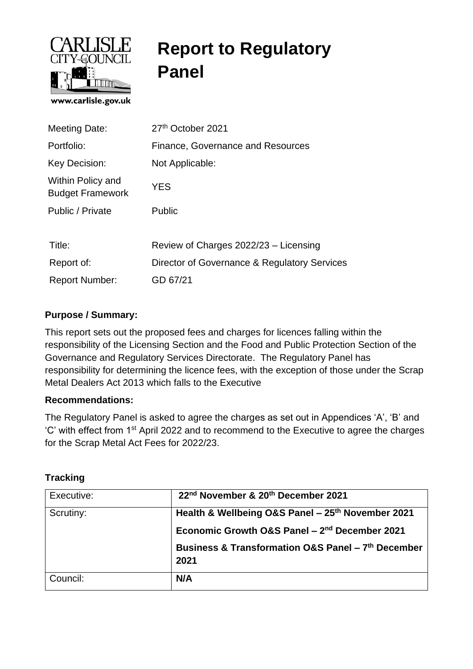

# **Report to Regulatory Panel**

| <b>Meeting Date:</b>                         | 27th October 2021                            |
|----------------------------------------------|----------------------------------------------|
| Portfolio:                                   | Finance, Governance and Resources            |
| Key Decision:                                | Not Applicable:                              |
| Within Policy and<br><b>Budget Framework</b> | <b>YES</b>                                   |
| Public / Private                             | Public                                       |
|                                              |                                              |
| Title:                                       | Review of Charges 2022/23 - Licensing        |
| Report of:                                   | Director of Governance & Regulatory Services |
| <b>Report Number:</b>                        | GD 67/21                                     |

## **Purpose / Summary:**

This report sets out the proposed fees and charges for licences falling within the responsibility of the Licensing Section and the Food and Public Protection Section of the Governance and Regulatory Services Directorate. The Regulatory Panel has responsibility for determining the licence fees, with the exception of those under the Scrap Metal Dealers Act 2013 which falls to the Executive

#### **Recommendations:**

The Regulatory Panel is asked to agree the charges as set out in Appendices 'A', 'B' and 'C' with effect from 1st April 2022 and to recommend to the Executive to agree the charges for the Scrap Metal Act Fees for 2022/23.

#### **Tracking**

| Executive: | 22nd November & 20th December 2021                                                                             |
|------------|----------------------------------------------------------------------------------------------------------------|
| Scrutiny:  | Health & Wellbeing O&S Panel - 25th November 2021<br>Economic Growth O&S Panel - 2 <sup>nd</sup> December 2021 |
|            | Business & Transformation O&S Panel - 7th December<br>2021                                                     |
|            |                                                                                                                |
| Council:   | N/A                                                                                                            |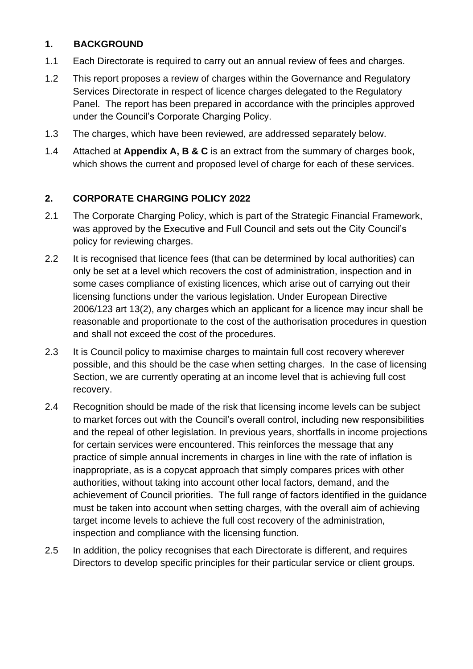## **1. BACKGROUND**

- 1.1 Each Directorate is required to carry out an annual review of fees and charges.
- 1.2 This report proposes a review of charges within the Governance and Regulatory Services Directorate in respect of licence charges delegated to the Regulatory Panel. The report has been prepared in accordance with the principles approved under the Council's Corporate Charging Policy.
- 1.3 The charges, which have been reviewed, are addressed separately below.
- 1.4 Attached at **Appendix A, B & C** is an extract from the summary of charges book, which shows the current and proposed level of charge for each of these services.

## **2. CORPORATE CHARGING POLICY 2022**

- 2.1 The Corporate Charging Policy, which is part of the Strategic Financial Framework, was approved by the Executive and Full Council and sets out the City Council's policy for reviewing charges.
- 2.2 It is recognised that licence fees (that can be determined by local authorities) can only be set at a level which recovers the cost of administration, inspection and in some cases compliance of existing licences, which arise out of carrying out their licensing functions under the various legislation. Under European Directive 2006/123 art 13(2), any charges which an applicant for a licence may incur shall be reasonable and proportionate to the cost of the authorisation procedures in question and shall not exceed the cost of the procedures.
- 2.3 It is Council policy to maximise charges to maintain full cost recovery wherever possible, and this should be the case when setting charges. In the case of licensing Section, we are currently operating at an income level that is achieving full cost recovery.
- 2.4 Recognition should be made of the risk that licensing income levels can be subject to market forces out with the Council's overall control, including new responsibilities and the repeal of other legislation. In previous years, shortfalls in income projections for certain services were encountered. This reinforces the message that any practice of simple annual increments in charges in line with the rate of inflation is inappropriate, as is a copycat approach that simply compares prices with other authorities, without taking into account other local factors, demand, and the achievement of Council priorities. The full range of factors identified in the guidance must be taken into account when setting charges, with the overall aim of achieving target income levels to achieve the full cost recovery of the administration, inspection and compliance with the licensing function.
- 2.5 In addition, the policy recognises that each Directorate is different, and requires Directors to develop specific principles for their particular service or client groups.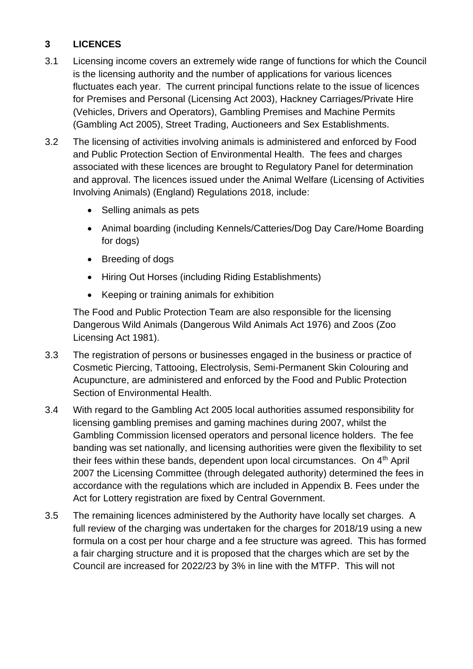# **3 LICENCES**

- 3.1 Licensing income covers an extremely wide range of functions for which the Council is the licensing authority and the number of applications for various licences fluctuates each year. The current principal functions relate to the issue of licences for Premises and Personal (Licensing Act 2003), Hackney Carriages/Private Hire (Vehicles, Drivers and Operators), Gambling Premises and Machine Permits (Gambling Act 2005), Street Trading, Auctioneers and Sex Establishments.
- 3.2 The licensing of activities involving animals is administered and enforced by Food and Public Protection Section of Environmental Health. The fees and charges associated with these licences are brought to Regulatory Panel for determination and approval. The licences issued under the Animal Welfare (Licensing of Activities Involving Animals) (England) Regulations 2018, include:
	- Selling animals as pets
	- Animal boarding (including Kennels/Catteries/Dog Day Care/Home Boarding for dogs)
	- Breeding of dogs
	- Hiring Out Horses (including Riding Establishments)
	- Keeping or training animals for exhibition

The Food and Public Protection Team are also responsible for the licensing Dangerous Wild Animals (Dangerous Wild Animals Act 1976) and Zoos (Zoo Licensing Act 1981).

- 3.3 The registration of persons or businesses engaged in the business or practice of Cosmetic Piercing, Tattooing, Electrolysis, Semi-Permanent Skin Colouring and Acupuncture, are administered and enforced by the Food and Public Protection Section of Environmental Health.
- 3.4 With regard to the Gambling Act 2005 local authorities assumed responsibility for licensing gambling premises and gaming machines during 2007, whilst the Gambling Commission licensed operators and personal licence holders. The fee banding was set nationally, and licensing authorities were given the flexibility to set their fees within these bands, dependent upon local circumstances. On 4th April 2007 the Licensing Committee (through delegated authority) determined the fees in accordance with the regulations which are included in Appendix B. Fees under the Act for Lottery registration are fixed by Central Government.
- 3.5 The remaining licences administered by the Authority have locally set charges. A full review of the charging was undertaken for the charges for 2018/19 using a new formula on a cost per hour charge and a fee structure was agreed. This has formed a fair charging structure and it is proposed that the charges which are set by the Council are increased for 2022/23 by 3% in line with the MTFP. This will not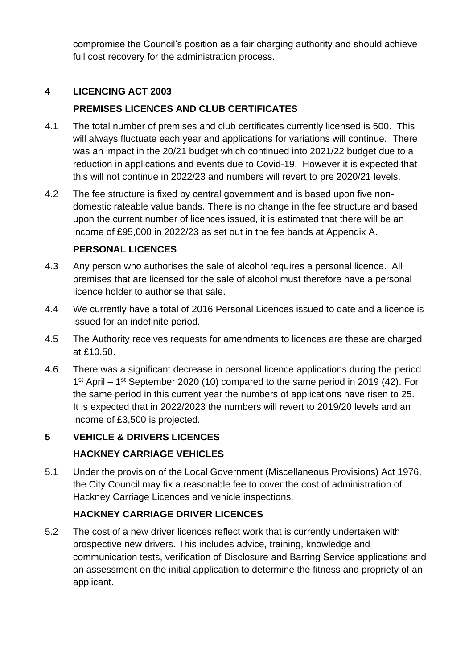compromise the Council's position as a fair charging authority and should achieve full cost recovery for the administration process.

# **4 LICENCING ACT 2003**

# **PREMISES LICENCES AND CLUB CERTIFICATES**

- 4.1 The total number of premises and club certificates currently licensed is 500. This will always fluctuate each year and applications for variations will continue. There was an impact in the 20/21 budget which continued into 2021/22 budget due to a reduction in applications and events due to Covid-19. However it is expected that this will not continue in 2022/23 and numbers will revert to pre 2020/21 levels.
- 4.2 The fee structure is fixed by central government and is based upon five nondomestic rateable value bands. There is no change in the fee structure and based upon the current number of licences issued, it is estimated that there will be an income of £95,000 in 2022/23 as set out in the fee bands at Appendix A.

## **PERSONAL LICENCES**

- 4.3 Any person who authorises the sale of alcohol requires a personal licence. All premises that are licensed for the sale of alcohol must therefore have a personal licence holder to authorise that sale.
- 4.4 We currently have a total of 2016 Personal Licences issued to date and a licence is issued for an indefinite period.
- 4.5 The Authority receives requests for amendments to licences are these are charged at £10.50.
- 4.6 There was a significant decrease in personal licence applications during the period 1<sup>st</sup> April – 1<sup>st</sup> September 2020 (10) compared to the same period in 2019 (42). For the same period in this current year the numbers of applications have risen to 25. It is expected that in 2022/2023 the numbers will revert to 2019/20 levels and an income of £3,500 is projected.

# **5 VEHICLE & DRIVERS LICENCES HACKNEY CARRIAGE VEHICLES**

5.1 Under the provision of the Local Government (Miscellaneous Provisions) Act 1976, the City Council may fix a reasonable fee to cover the cost of administration of Hackney Carriage Licences and vehicle inspections.

# **HACKNEY CARRIAGE DRIVER LICENCES**

5.2 The cost of a new driver licences reflect work that is currently undertaken with prospective new drivers. This includes advice, training, knowledge and communication tests, verification of Disclosure and Barring Service applications and an assessment on the initial application to determine the fitness and propriety of an applicant.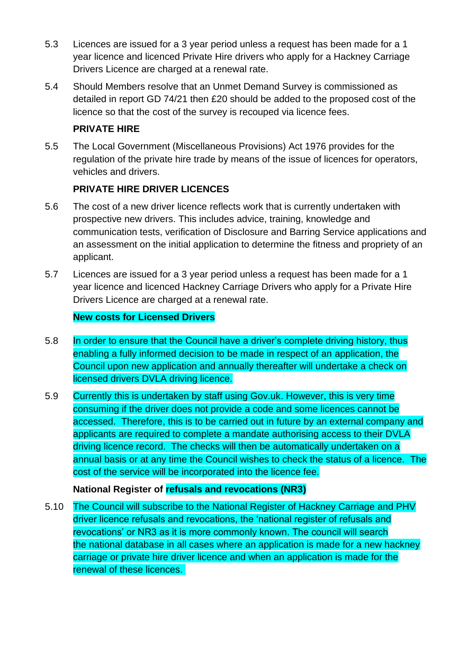- 5.3 Licences are issued for a 3 year period unless a request has been made for a 1 year licence and licenced Private Hire drivers who apply for a Hackney Carriage Drivers Licence are charged at a renewal rate.
- 5.4 Should Members resolve that an Unmet Demand Survey is commissioned as detailed in report GD 74/21 then £20 should be added to the proposed cost of the licence so that the cost of the survey is recouped via licence fees.

# **PRIVATE HIRE**

5.5 The Local Government (Miscellaneous Provisions) Act 1976 provides for the regulation of the private hire trade by means of the issue of licences for operators, vehicles and drivers.

# **PRIVATE HIRE DRIVER LICENCES**

- 5.6 The cost of a new driver licence reflects work that is currently undertaken with prospective new drivers. This includes advice, training, knowledge and communication tests, verification of Disclosure and Barring Service applications and an assessment on the initial application to determine the fitness and propriety of an applicant.
- 5.7 Licences are issued for a 3 year period unless a request has been made for a 1 year licence and licenced Hackney Carriage Drivers who apply for a Private Hire Drivers Licence are charged at a renewal rate.

## **New costs for Licensed Drivers**

- 5.8 In order to ensure that the Council have a driver's complete driving history, thus enabling a fully informed decision to be made in respect of an application, the Council upon new application and annually thereafter will undertake a check on licensed drivers DVLA driving licence.
- 5.9 Currently this is undertaken by staff using Gov.uk. However, this is very time consuming if the driver does not provide a code and some licences cannot be accessed. Therefore, this is to be carried out in future by an external company and applicants are required to complete a mandate authorising access to their DVLA driving licence record. The checks will then be automatically undertaken on a annual basis or at any time the Council wishes to check the status of a licence. The cost of the service will be incorporated into the licence fee.

#### **National Register of refusals and revocations (NR3)**

5.10 The Council will subscribe to the National Register of Hackney Carriage and PHV driver licence refusals and revocations, the 'national register of refusals and revocations' or NR3 as it is more commonly known. The council will search the national database in all cases where an application is made for a new hackney carriage or private hire driver licence and when an application is made for the renewal of these licences.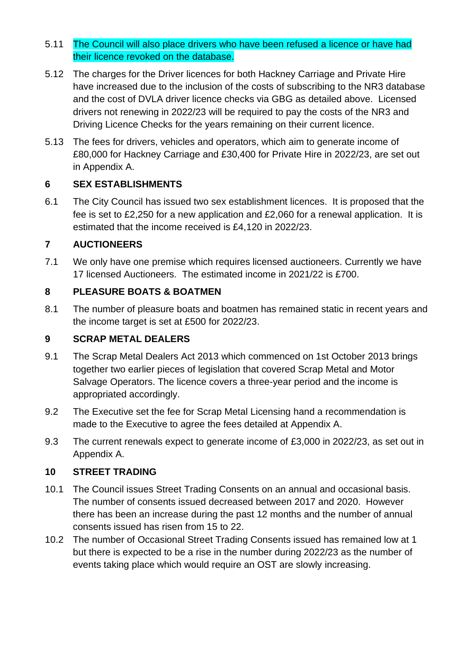#### 5.11 The Council will also place drivers who have been refused a licence or have had their licence revoked on the database.

- 5.12 The charges for the Driver licences for both Hackney Carriage and Private Hire have increased due to the inclusion of the costs of subscribing to the NR3 database and the cost of DVLA driver licence checks via GBG as detailed above. Licensed drivers not renewing in 2022/23 will be required to pay the costs of the NR3 and Driving Licence Checks for the years remaining on their current licence.
- 5.13 The fees for drivers, vehicles and operators, which aim to generate income of £80,000 for Hackney Carriage and £30,400 for Private Hire in 2022/23, are set out in Appendix A.

## **6 SEX ESTABLISHMENTS**

6.1 The City Council has issued two sex establishment licences. It is proposed that the fee is set to £2,250 for a new application and £2,060 for a renewal application. It is estimated that the income received is £4,120 in 2022/23.

## **7 AUCTIONEERS**

7.1 We only have one premise which requires licensed auctioneers. Currently we have 17 licensed Auctioneers. The estimated income in 2021/22 is £700.

## **8 PLEASURE BOATS & BOATMEN**

8.1 The number of pleasure boats and boatmen has remained static in recent years and the income target is set at £500 for 2022/23.

## **9 SCRAP METAL DEALERS**

- 9.1 The Scrap Metal Dealers Act 2013 which commenced on 1st October 2013 brings together two earlier pieces of legislation that covered Scrap Metal and Motor Salvage Operators. The licence covers a three-year period and the income is appropriated accordingly.
- 9.2 The Executive set the fee for Scrap Metal Licensing hand a recommendation is made to the Executive to agree the fees detailed at Appendix A.
- 9.3 The current renewals expect to generate income of £3,000 in 2022/23, as set out in Appendix A.

#### **10 STREET TRADING**

- 10.1 The Council issues Street Trading Consents on an annual and occasional basis. The number of consents issued decreased between 2017 and 2020. However there has been an increase during the past 12 months and the number of annual consents issued has risen from 15 to 22.
- 10.2 The number of Occasional Street Trading Consents issued has remained low at 1 but there is expected to be a rise in the number during 2022/23 as the number of events taking place which would require an OST are slowly increasing.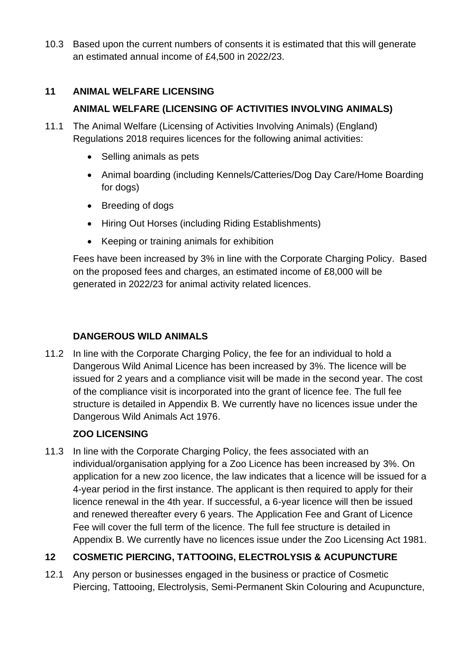10.3 Based upon the current numbers of consents it is estimated that this will generate an estimated annual income of £4,500 in 2022/23.

# **11 ANIMAL WELFARE LICENSING**

# **ANIMAL WELFARE (LICENSING OF ACTIVITIES INVOLVING ANIMALS)**

- 11.1 The Animal Welfare (Licensing of Activities Involving Animals) (England) Regulations 2018 requires licences for the following animal activities:
	- Selling animals as pets
	- Animal boarding (including Kennels/Catteries/Dog Day Care/Home Boarding for dogs)
	- Breeding of dogs
	- Hiring Out Horses (including Riding Establishments)
	- Keeping or training animals for exhibition

Fees have been increased by 3% in line with the Corporate Charging Policy. Based on the proposed fees and charges, an estimated income of £8,000 will be generated in 2022/23 for animal activity related licences.

# **DANGEROUS WILD ANIMALS**

11.2 In line with the Corporate Charging Policy, the fee for an individual to hold a Dangerous Wild Animal Licence has been increased by 3%. The licence will be issued for 2 years and a compliance visit will be made in the second year. The cost of the compliance visit is incorporated into the grant of licence fee. The full fee structure is detailed in Appendix B. We currently have no licences issue under the Dangerous Wild Animals Act 1976.

# **ZOO LICENSING**

11.3 In line with the Corporate Charging Policy, the fees associated with an individual/organisation applying for a Zoo Licence has been increased by 3%. On application for a new zoo licence, the law indicates that a licence will be issued for a 4-year period in the first instance. The applicant is then required to apply for their licence renewal in the 4th year. If successful, a 6-year licence will then be issued and renewed thereafter every 6 years. The Application Fee and Grant of Licence Fee will cover the full term of the licence. The full fee structure is detailed in Appendix B. We currently have no licences issue under the Zoo Licensing Act 1981.

# **12 COSMETIC PIERCING, TATTOOING, ELECTROLYSIS & ACUPUNCTURE**

12.1 Any person or businesses engaged in the business or practice of Cosmetic Piercing, Tattooing, Electrolysis, Semi-Permanent Skin Colouring and Acupuncture,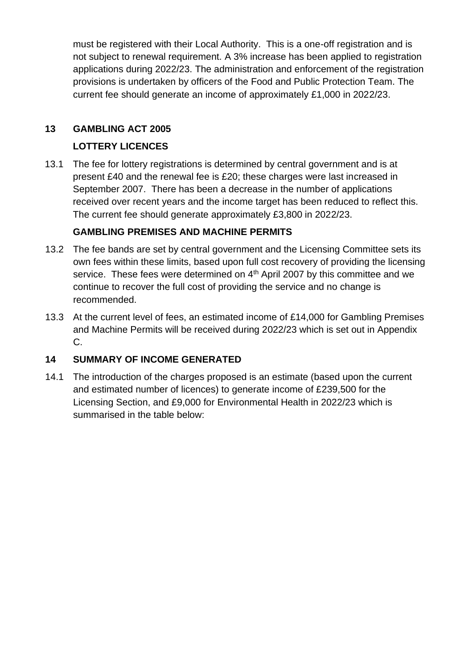must be registered with their Local Authority. This is a one-off registration and is not subject to renewal requirement. A 3% increase has been applied to registration applications during 2022/23. The administration and enforcement of the registration provisions is undertaken by officers of the Food and Public Protection Team. The current fee should generate an income of approximately £1,000 in 2022/23.

## **13 GAMBLING ACT 2005**

## **LOTTERY LICENCES**

13.1 The fee for lottery registrations is determined by central government and is at present £40 and the renewal fee is £20; these charges were last increased in September 2007. There has been a decrease in the number of applications received over recent years and the income target has been reduced to reflect this. The current fee should generate approximately £3,800 in 2022/23.

## **GAMBLING PREMISES AND MACHINE PERMITS**

- 13.2 The fee bands are set by central government and the Licensing Committee sets its own fees within these limits, based upon full cost recovery of providing the licensing service. These fees were determined on 4<sup>th</sup> April 2007 by this committee and we continue to recover the full cost of providing the service and no change is recommended.
- 13.3 At the current level of fees, an estimated income of £14,000 for Gambling Premises and Machine Permits will be received during 2022/23 which is set out in Appendix C.

# **14 SUMMARY OF INCOME GENERATED**

14.1 The introduction of the charges proposed is an estimate (based upon the current and estimated number of licences) to generate income of £239,500 for the Licensing Section, and £9,000 for Environmental Health in 2022/23 which is summarised in the table below: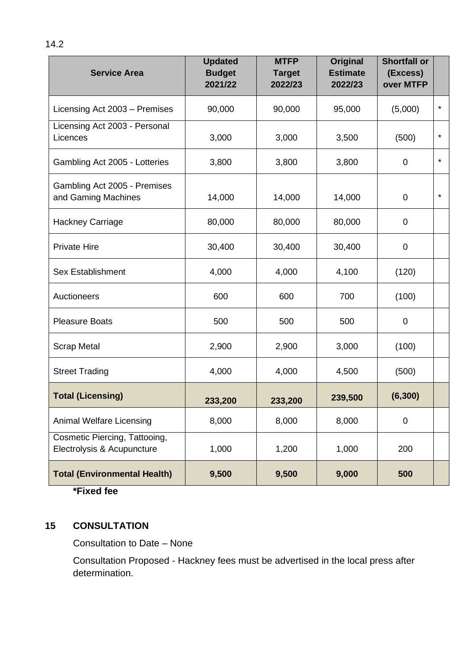| <b>Service Area</b>                                         | <b>Updated</b><br><b>Budget</b><br>2021/22 | <b>MTFP</b><br><b>Target</b><br>2022/23 | <b>Original</b><br><b>Estimate</b><br>2022/23 | <b>Shortfall or</b><br>(Excess)<br>over MTFP |         |
|-------------------------------------------------------------|--------------------------------------------|-----------------------------------------|-----------------------------------------------|----------------------------------------------|---------|
| Licensing Act 2003 - Premises                               | 90,000                                     | 90,000                                  | 95,000                                        | (5,000)                                      | $\star$ |
| Licensing Act 2003 - Personal<br>Licences                   | 3,000                                      | 3,000                                   | 3,500                                         | (500)                                        | $\star$ |
| Gambling Act 2005 - Lotteries                               | 3,800                                      | 3,800                                   | 3,800                                         | $\mathbf 0$                                  | $\star$ |
| Gambling Act 2005 - Premises<br>and Gaming Machines         | 14,000                                     | 14,000                                  | 14,000                                        | $\mathbf 0$                                  | $\star$ |
| <b>Hackney Carriage</b>                                     | 80,000                                     | 80,000                                  | 80,000                                        | $\mathbf 0$                                  |         |
| <b>Private Hire</b>                                         | 30,400                                     | 30,400                                  | 30,400                                        | $\mathbf 0$                                  |         |
| <b>Sex Establishment</b>                                    | 4,000                                      | 4,000                                   | 4,100                                         | (120)                                        |         |
| Auctioneers                                                 | 600                                        | 600                                     | 700                                           | (100)                                        |         |
| <b>Pleasure Boats</b>                                       | 500                                        | 500                                     | 500                                           | $\mathbf 0$                                  |         |
| <b>Scrap Metal</b>                                          | 2,900                                      | 2,900                                   | 3,000                                         | (100)                                        |         |
| <b>Street Trading</b>                                       | 4,000                                      | 4,000                                   | 4,500                                         | (500)                                        |         |
| <b>Total (Licensing)</b>                                    | 233,200                                    | 233,200                                 | 239,500                                       | (6, 300)                                     |         |
| <b>Animal Welfare Licensing</b>                             | 8,000                                      | 8,000                                   | 8,000                                         | $\mathbf 0$                                  |         |
| Cosmetic Piercing, Tattooing,<br>Electrolysis & Acupuncture | 1,000                                      | 1,200                                   | 1,000                                         | 200                                          |         |
| <b>Total (Environmental Health)</b>                         | 9,500                                      | 9,500                                   | 9,000                                         | 500                                          |         |

**\*Fixed fee**

# **15 CONSULTATION**

Consultation to Date – None

Consultation Proposed - Hackney fees must be advertised in the local press after determination.

14.2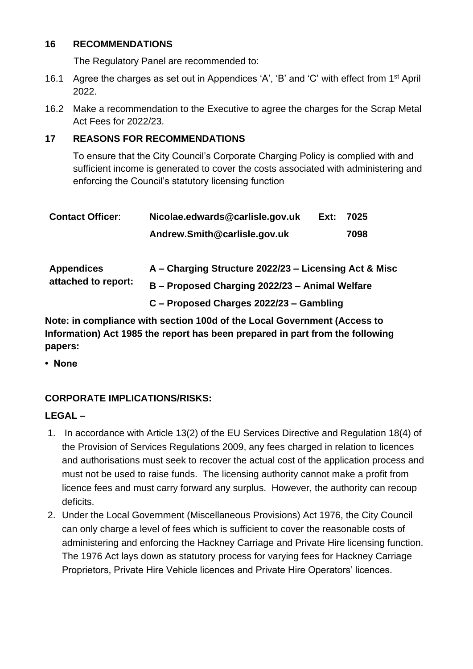#### **16 RECOMMENDATIONS**

The Regulatory Panel are recommended to:

- 16.1 Agree the charges as set out in Appendices 'A', 'B' and 'C' with effect from 1st April 2022.
- 16.2 Make a recommendation to the Executive to agree the charges for the Scrap Metal Act Fees for 2022/23.

## **17 REASONS FOR RECOMMENDATIONS**

To ensure that the City Council's Corporate Charging Policy is complied with and sufficient income is generated to cover the costs associated with administering and enforcing the Council's statutory licensing function

| <b>Contact Officer:</b> | Nicolae.edwards@carlisle.gov.uk                       | Ext: | 7025 |  |  |  |
|-------------------------|-------------------------------------------------------|------|------|--|--|--|
|                         | Andrew.Smith@carlisle.gov.uk                          |      | 7098 |  |  |  |
| <b>Appendices</b>       | A - Charging Structure 2022/23 - Licensing Act & Misc |      |      |  |  |  |
| attached to report:     | B - Proposed Charging 2022/23 - Animal Welfare        |      |      |  |  |  |
|                         | C - Proposed Charges 2022/23 - Gambling               |      |      |  |  |  |

**Note: in compliance with section 100d of the Local Government (Access to Information) Act 1985 the report has been prepared in part from the following papers:**

**• None**

# **CORPORATE IMPLICATIONS/RISKS:**

#### **LEGAL –**

- 1. In accordance with Article 13(2) of the EU Services Directive and Regulation 18(4) of the Provision of Services Regulations 2009, any fees charged in relation to licences and authorisations must seek to recover the actual cost of the application process and must not be used to raise funds. The licensing authority cannot make a profit from licence fees and must carry forward any surplus. However, the authority can recoup deficits.
- 2. Under the Local Government (Miscellaneous Provisions) Act 1976, the City Council can only charge a level of fees which is sufficient to cover the reasonable costs of administering and enforcing the Hackney Carriage and Private Hire licensing function. The 1976 Act lays down as statutory process for varying fees for Hackney Carriage Proprietors, Private Hire Vehicle licences and Private Hire Operators' licences.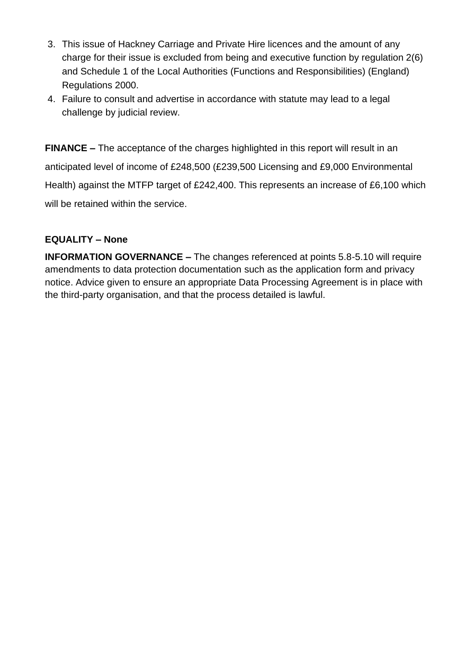- 3. This issue of Hackney Carriage and Private Hire licences and the amount of any charge for their issue is excluded from being and executive function by regulation 2(6) and Schedule 1 of the Local Authorities (Functions and Responsibilities) (England) Regulations 2000.
- 4. Failure to consult and advertise in accordance with statute may lead to a legal challenge by judicial review.

**FINANCE –** The acceptance of the charges highlighted in this report will result in an anticipated level of income of £248,500 (£239,500 Licensing and £9,000 Environmental Health) against the MTFP target of £242,400. This represents an increase of £6,100 which will be retained within the service.

#### **EQUALITY – None**

**INFORMATION GOVERNANCE –** The changes referenced at points 5.8-5.10 will require amendments to data protection documentation such as the application form and privacy notice. Advice given to ensure an appropriate Data Processing Agreement is in place with the third-party organisation, and that the process detailed is lawful.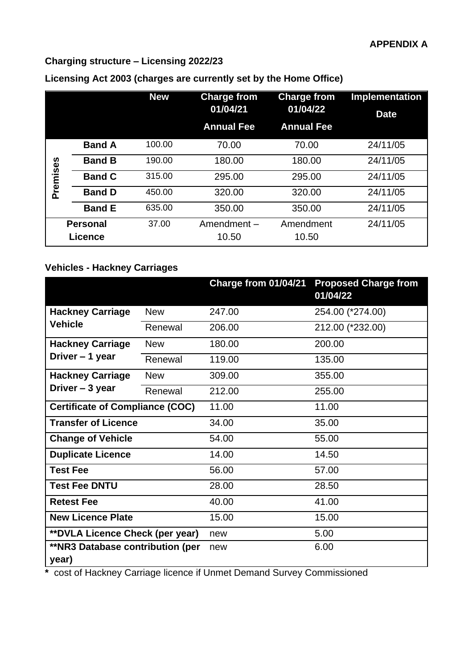# **Charging structure – Licensing 2022/23**

|          |                 | <b>New</b> | <b>Charge from</b><br>01/04/21 | <b>Charge from</b><br>01/04/22 | <b>Implementation</b><br><b>Date</b> |
|----------|-----------------|------------|--------------------------------|--------------------------------|--------------------------------------|
|          |                 |            | <b>Annual Fee</b>              | <b>Annual Fee</b>              |                                      |
|          | <b>Band A</b>   | 100.00     | 70.00                          | 70.00                          | 24/11/05                             |
|          | <b>Band B</b>   | 190.00     | 180.00                         | 180.00                         | 24/11/05                             |
| Premises | <b>Band C</b>   | 315.00     | 295.00                         | 295.00                         | 24/11/05                             |
|          | <b>Band D</b>   | 450.00     | 320.00                         | 320.00                         | 24/11/05                             |
|          | <b>Band E</b>   | 635.00     | 350.00                         | 350.00                         | 24/11/05                             |
|          | <b>Personal</b> | 37.00      | Amendment-                     | Amendment                      | 24/11/05                             |
|          | <b>Licence</b>  |            | 10.50                          | 10.50                          |                                      |

# **Licensing Act 2003 (charges are currently set by the Home Office)**

# **Vehicles - Hackney Carriages**

|                                                  |            | Charge from 01/04/21 | <b>Proposed Charge from</b><br>01/04/22 |
|--------------------------------------------------|------------|----------------------|-----------------------------------------|
| <b>Hackney Carriage</b>                          | <b>New</b> | 247.00               | 254.00 (*274.00)                        |
| <b>Vehicle</b>                                   | Renewal    | 206.00               | 212.00 (*232.00)                        |
| <b>Hackney Carriage</b>                          | <b>New</b> | 180.00               | 200.00                                  |
| Driver - 1 year                                  | Renewal    | 119.00               | 135.00                                  |
| <b>Hackney Carriage</b>                          | <b>New</b> | 309.00               | 355.00                                  |
| Driver - 3 year                                  | Renewal    | 212.00               | 255.00                                  |
| <b>Certificate of Compliance (COC)</b>           |            | 11.00                | 11.00                                   |
| <b>Transfer of Licence</b>                       |            |                      | 35.00                                   |
| <b>Change of Vehicle</b>                         |            | 54.00                | 55.00                                   |
| <b>Duplicate Licence</b>                         |            | 14.00                | 14.50                                   |
| <b>Test Fee</b>                                  |            | 56.00                | 57.00                                   |
| <b>Test Fee DNTU</b>                             |            | 28.00                | 28.50                                   |
| <b>Retest Fee</b>                                |            | 40.00                | 41.00                                   |
| <b>New Licence Plate</b>                         |            | 15.00                | 15.00                                   |
| <b>**DVLA Licence Check (per year)</b>           |            | new                  | 5.00                                    |
| <b>**NR3 Database contribution (per</b><br>year) |            | new                  | 6.00                                    |

**\*** cost of Hackney Carriage licence if Unmet Demand Survey Commissioned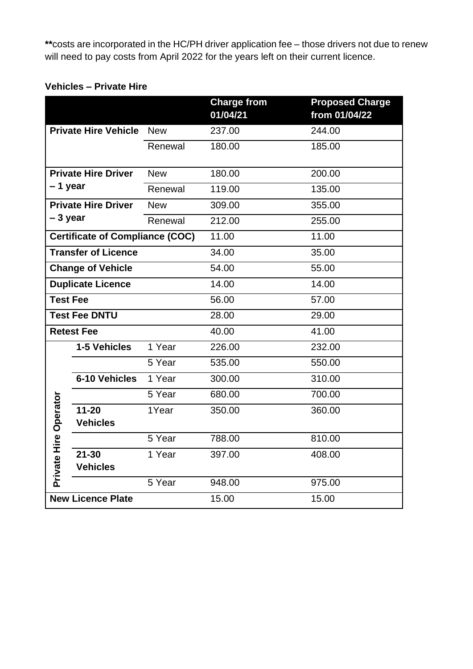**\*\***costs are incorporated in the HC/PH driver application fee – those drivers not due to renew will need to pay costs from April 2022 for the years left on their current licence.

## **Vehicles – Private Hire**

|                          |                                        |            | <b>Charge from</b><br>01/04/21 | <b>Proposed Charge</b><br>from 01/04/22 |
|--------------------------|----------------------------------------|------------|--------------------------------|-----------------------------------------|
|                          | <b>Private Hire Vehicle</b>            | <b>New</b> | 237.00                         | 244.00                                  |
|                          |                                        | Renewal    | 180.00                         | 185.00                                  |
|                          | <b>Private Hire Driver</b>             | <b>New</b> | 180.00                         | 200.00                                  |
| – 1 year                 |                                        | Renewal    | 119.00                         | 135.00                                  |
|                          | <b>Private Hire Driver</b>             | <b>New</b> | 309.00                         | 355.00                                  |
| $-3$ year                |                                        | Renewal    | 212.00                         | 255.00                                  |
|                          | <b>Certificate of Compliance (COC)</b> |            | 11.00                          | 11.00                                   |
|                          | <b>Transfer of Licence</b>             |            | 34.00                          | 35.00                                   |
| <b>Change of Vehicle</b> |                                        |            | 54.00                          | 55.00                                   |
|                          | <b>Duplicate Licence</b>               |            | 14.00                          | 14.00                                   |
| <b>Test Fee</b>          |                                        |            | 56.00                          | 57.00                                   |
|                          | <b>Test Fee DNTU</b>                   |            | 28.00                          | 29.00                                   |
|                          | <b>Retest Fee</b>                      |            | 40.00                          | 41.00                                   |
|                          | 1-5 Vehicles                           | 1 Year     | 226.00                         | 232.00                                  |
|                          |                                        | 5 Year     | 535.00                         | 550.00                                  |
|                          | 6-10 Vehicles                          | 1 Year     | 300.00                         | 310.00                                  |
|                          |                                        | 5 Year     | 680.00                         | 700.00                                  |
|                          | $11 - 20$                              | 1Year      | 350.00                         | 360.00                                  |
| Private Hire Operator    | <b>Vehicles</b>                        |            |                                |                                         |
|                          |                                        | 5 Year     | 788.00                         | 810.00                                  |
|                          | $21 - 30$                              | 1 Year     | 397.00                         | 408.00                                  |
|                          | <b>Vehicles</b>                        |            |                                |                                         |
|                          |                                        | 5 Year     | 948.00                         | 975.00                                  |
|                          | <b>New Licence Plate</b>               |            | 15.00                          | 15.00                                   |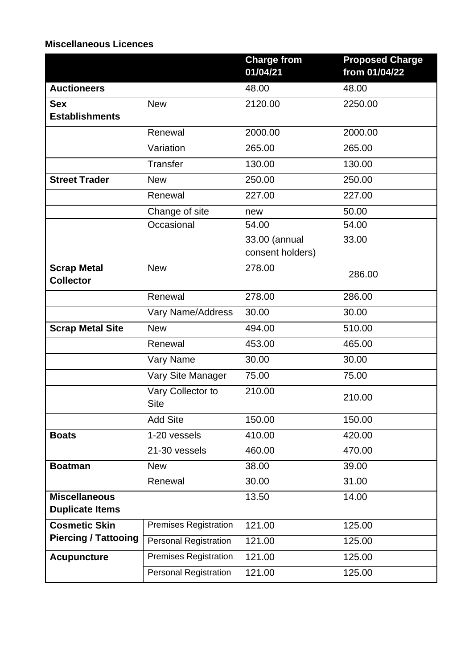## **Miscellaneous Licences**

|                                                |                                  | <b>Charge from</b><br>01/04/21    | <b>Proposed Charge</b><br>from 01/04/22 |
|------------------------------------------------|----------------------------------|-----------------------------------|-----------------------------------------|
| <b>Auctioneers</b>                             |                                  | 48.00                             | 48.00                                   |
| <b>Sex</b><br><b>Establishments</b>            | <b>New</b>                       | 2120.00                           | 2250.00                                 |
|                                                | Renewal                          | 2000.00                           | 2000.00                                 |
|                                                | Variation                        | 265.00                            | 265.00                                  |
|                                                | <b>Transfer</b>                  | 130.00                            | 130.00                                  |
| <b>Street Trader</b>                           | <b>New</b>                       | 250.00                            | 250.00                                  |
|                                                | Renewal                          | 227.00                            | 227.00                                  |
|                                                | Change of site                   | new                               | 50.00                                   |
|                                                | Occasional                       | 54.00                             | 54.00                                   |
|                                                |                                  | 33.00 (annual<br>consent holders) | 33.00                                   |
| <b>Scrap Metal</b><br><b>Collector</b>         | <b>New</b>                       | 278.00                            | 286.00                                  |
|                                                | Renewal                          | 278.00                            | 286.00                                  |
|                                                | Vary Name/Address                | 30.00                             | 30.00                                   |
| <b>Scrap Metal Site</b>                        | <b>New</b>                       | 494.00                            | 510.00                                  |
|                                                | Renewal                          | 453.00                            | 465.00                                  |
|                                                | Vary Name                        | 30.00                             | 30.00                                   |
|                                                | Vary Site Manager                | 75.00                             | 75.00                                   |
|                                                | Vary Collector to<br><b>Site</b> | 210.00                            | 210.00                                  |
|                                                | <b>Add Site</b>                  | 150.00                            | 150.00                                  |
| <b>Boats</b>                                   | 1-20 vessels                     | 410.00                            | 420.00                                  |
|                                                | 21-30 vessels                    | 460.00                            | 470.00                                  |
| <b>Boatman</b>                                 | <b>New</b>                       | 38.00                             | 39.00                                   |
|                                                | Renewal                          | 30.00                             | 31.00                                   |
| <b>Miscellaneous</b><br><b>Duplicate Items</b> |                                  | 13.50                             | 14.00                                   |
| <b>Cosmetic Skin</b>                           | <b>Premises Registration</b>     | 121.00                            | 125.00                                  |
| <b>Piercing / Tattooing</b>                    | <b>Personal Registration</b>     | 121.00                            | 125.00                                  |
| <b>Acupuncture</b>                             | <b>Premises Registration</b>     | 121.00                            | 125.00                                  |
|                                                | <b>Personal Registration</b>     | 121.00                            | 125.00                                  |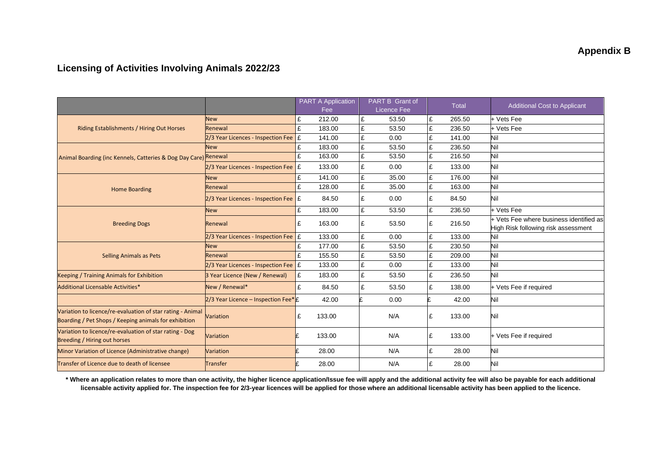## **Licensing of Activities Involving Animals 2022/23**

|                                                                                                                     |                                                    |               | <b>PART A Application</b><br>Fee |            | PART B Grant of<br>Licence Fee |        | <b>Total</b>                            | <b>Additional Cost to Applicant</b>        |
|---------------------------------------------------------------------------------------------------------------------|----------------------------------------------------|---------------|----------------------------------|------------|--------------------------------|--------|-----------------------------------------|--------------------------------------------|
|                                                                                                                     | <b>New</b>                                         | £             | 212.00                           | £          | 53.50                          | £      | 265.50                                  | + Vets Fee                                 |
| Riding Establishments / Hiring Out Horses                                                                           | Renewal                                            | f             | 183.00                           | £          | 53.50                          | £      | 236.50                                  | + Vets Fee                                 |
|                                                                                                                     | 2/3 Year Licences - Inspection Fee                 | £             | 141.00                           | £          | 0.00                           | £      | 141.00                                  | Nil                                        |
|                                                                                                                     | New                                                | £             | 183.00                           | £          | 53.50                          | £      | 236.50                                  | Nil                                        |
| Animal Boarding (inc Kennels, Catteries & Dog Day Care) Renewal                                                     |                                                    | £             | 163.00                           | £          | 53.50                          | £      | 216.50                                  | Nil                                        |
|                                                                                                                     | 2/3 Year Licences - Inspection Fee                 | Ι£            | 133.00                           | £          | 0.00                           | £      | 133.00                                  | Nil                                        |
|                                                                                                                     | <b>New</b>                                         | £             | 141.00                           | £          | 35.00                          | £      | 176.00                                  | Nil                                        |
| <b>Home Boarding</b>                                                                                                | Renewal                                            | £             | 128.00                           | £          | 35.00                          | £      | 163.00                                  | Nil                                        |
|                                                                                                                     | $2/3$ Year Licences - Inspection Fee $\mathcal{E}$ |               | 84.50                            | £          | 0.00                           | £      | 84.50                                   | Nil                                        |
|                                                                                                                     | <b>New</b>                                         | £             | 183.00                           | £          | 53.50                          | £      | 236.50                                  | + Vets Fee                                 |
| <b>Breeding Dogs</b>                                                                                                | Renewal                                            | £             | 163.00                           | £<br>53.50 | £                              | 216.50 | + Vets Fee where business identified as |                                            |
|                                                                                                                     | 2/3 Year Licences - Inspection Fee                 |               |                                  |            |                                | £      | 133.00                                  | High Risk following risk assessment<br>Nil |
|                                                                                                                     |                                                    | <b>E</b><br>£ | 133.00                           | £<br>£     | 0.00<br>53.50                  | £      |                                         | Nil                                        |
|                                                                                                                     | New                                                | £             | 177.00<br>155.50                 | £          | 53.50                          | £      | 230.50<br>209.00                        | Nil                                        |
| <b>Selling Animals as Pets</b>                                                                                      | Renewal                                            |               |                                  |            |                                |        |                                         |                                            |
|                                                                                                                     | 2/3 Year Licences - Inspection Fee E               |               | 133.00                           | £          | 0.00                           | £      | 133.00                                  | Nil                                        |
| <b>Keeping / Training Animals for Exhibition</b>                                                                    | 3 Year Licence (New / Renewal)                     | £             | 183.00                           | £          | 53.50                          | £      | 236.50                                  | Nil                                        |
| Additional Licensable Activities*                                                                                   | New / Renewal*                                     | £             | 84.50                            | £          | 53.50                          | £      | 138.00                                  | + Vets Fee if required                     |
|                                                                                                                     | 2/3 Year Licence - Inspection Fee* £               |               | 42.00                            |            | 0.00                           |        | 42.00                                   | Nil                                        |
| Variation to licence/re-evaluation of star rating - Animal<br>Boarding / Pet Shops / Keeping animals for exhibition | Variation                                          | £             | 133.00                           |            | N/A                            | £      | 133.00                                  | Nil                                        |
| Variation to licence/re-evaluation of star rating - Dog<br>Breeding / Hiring out horses                             | Variation                                          |               | 133.00                           |            | N/A                            | £      | 133.00                                  | + Vets Fee if required                     |
| Minor Variation of Licence (Administrative change)                                                                  | Variation                                          |               | 28.00                            |            | N/A                            | £      | 28.00                                   | Nil                                        |
| Transfer of Licence due to death of licensee                                                                        | <b>Transfer</b>                                    |               | 28.00                            |            | N/A                            | £      | 28.00                                   | Nil                                        |

**\* Where an application relates to more than one activity, the higher licence application/Issue fee will apply and the additional activity fee will also be payable for each additional licensable activity applied for. The inspection fee for 2/3-year licences will be applied for those where an additional licensable activity has been applied to the licence.**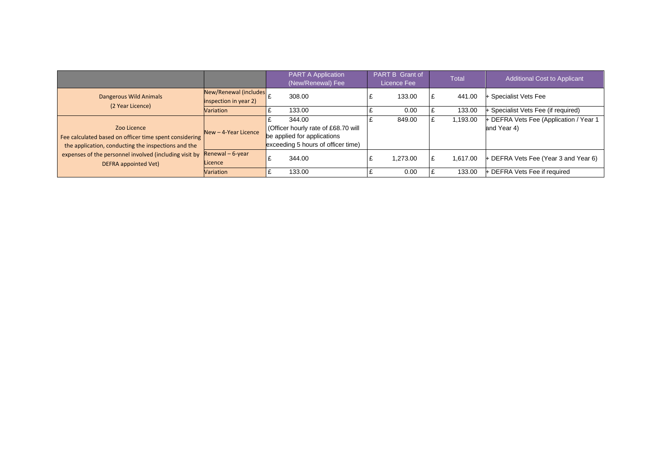|                                                                                                                                                                                                                |                                                | <b>PART A Application</b><br>(New/Renewal) Fee                                                                    | <b>PART B Grant of</b><br>Licence Fee | <b>Total</b> | Additional Cost to Applicant                          |
|----------------------------------------------------------------------------------------------------------------------------------------------------------------------------------------------------------------|------------------------------------------------|-------------------------------------------------------------------------------------------------------------------|---------------------------------------|--------------|-------------------------------------------------------|
| Dangerous Wild Animals<br>(2 Year Licence)                                                                                                                                                                     | New/Renewal (includes<br>inspection in year 2) | 308.00                                                                                                            | 133.00                                | 441.00       | + Specialist Vets Fee                                 |
|                                                                                                                                                                                                                | Variation                                      | 133.00                                                                                                            | 0.00                                  | 133.00       | Specialist Vets Fee (if required)                     |
| Zoo Licence<br>Fee calculated based on officer time spent considering<br>the application, conducting the inspections and the<br>expenses of the personnel involved (including visit by<br>DEFRA appointed Vet) | $New - 4$ -Year Licence                        | 344.00<br>Officer hourly rate of £68.70 will<br>be applied for applications<br>exceeding 5 hours of officer time) | 849.00                                | 1,193.00     | + DEFRA Vets Fee (Application / Year 1<br>and Year 4) |
|                                                                                                                                                                                                                | Renewal $-6$ -year<br>Licence                  | 344.00                                                                                                            | 1.273.00                              | 1.617.00     | + DEFRA Vets Fee (Year 3 and Year 6)                  |
|                                                                                                                                                                                                                | <b>Variation</b>                               | 133.00                                                                                                            | 0.00                                  | 133.00       | <b>DEFRA Vets Fee if required</b>                     |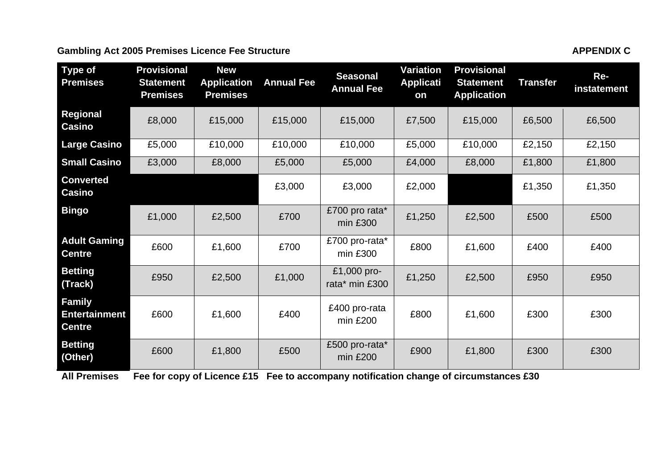#### Gambling Act 2005 Premises Licence Fee Structure **APPENDIX C** APPENDIX C

**Betting**<br>
(Other) £600 £1,800 £500 £500 pro-rata\*<br>
min £200

**All Premises Fee for copy of Licence £15 Fee to accompany notification change of circumstances £30**

**Centre**

**Betting** 

| Type of<br><b>Premises</b>    | <b>Provisional</b><br><b>Statement</b><br><b>Premises</b> | <b>New</b><br><b>Application</b><br><b>Premises</b> | <b>Annual Fee</b> | <b>Seasonal</b><br><b>Annual Fee</b> | Variation<br><b>Applicati</b><br>on | <b>Provisional</b><br><b>Statement</b><br><b>Application</b> | Transfer | Re-<br>instatement |
|-------------------------------|-----------------------------------------------------------|-----------------------------------------------------|-------------------|--------------------------------------|-------------------------------------|--------------------------------------------------------------|----------|--------------------|
| Regional<br>Casino            | £8,000                                                    | £15,000                                             | £15,000           | £15,000                              | £7,500                              | £15,000                                                      | £6,500   | £6,500             |
| <b>Large Casino</b>           | £5,000                                                    | £10,000                                             | £10,000           | £10,000                              | £5,000                              | £10,000                                                      | £2,150   | £2,150             |
| <b>Small Casino</b>           | £3,000                                                    | £8,000                                              | £5,000            | £5,000                               | £4,000                              | £8,000                                                       | £1,800   | £1,800             |
| <b>Converted</b><br>Casino    |                                                           |                                                     | £3,000            | £3,000                               | £2,000                              |                                                              | £1,350   | £1,350             |
| <b>Bingo</b>                  | £1,000                                                    | £2,500                                              | £700              | £700 pro rata*<br>min £300           | £1,250                              | £2,500                                                       | £500     | £500               |
| <b>Adult Gaming</b><br>Centre | £600                                                      | £1,600                                              | £700              | £700 pro-rata*<br>$min$ £300         | £800                                | £1,600                                                       | £400     | £400               |
| <b>Betting</b><br>(Track)     | £950                                                      | £2,500                                              | £1,000            | £1,000 pro-<br>rata* min £300        | £1,250                              | £2,500                                                       | £950     | £950               |
| Family<br>Entertainment       | £600                                                      | £1,600                                              | £400              | £400 pro-rata<br>$\cdots$ 0000       | £800                                | £1,600                                                       | £300     | £300               |

 $\begin{array}{c|c|c|c|c|c|c|c} \text{400 pto-tata} & \text{£800} & \text{£1,600} & \text{£300} & \text{£300} \end{array}$ 

ob protince  $\begin{bmatrix} 200 \\ 200 \end{bmatrix}$  £900  $\begin{bmatrix} 200 \\ 200 \end{bmatrix}$  £300  $\begin{bmatrix} 200 \\ 200 \end{bmatrix}$  £300